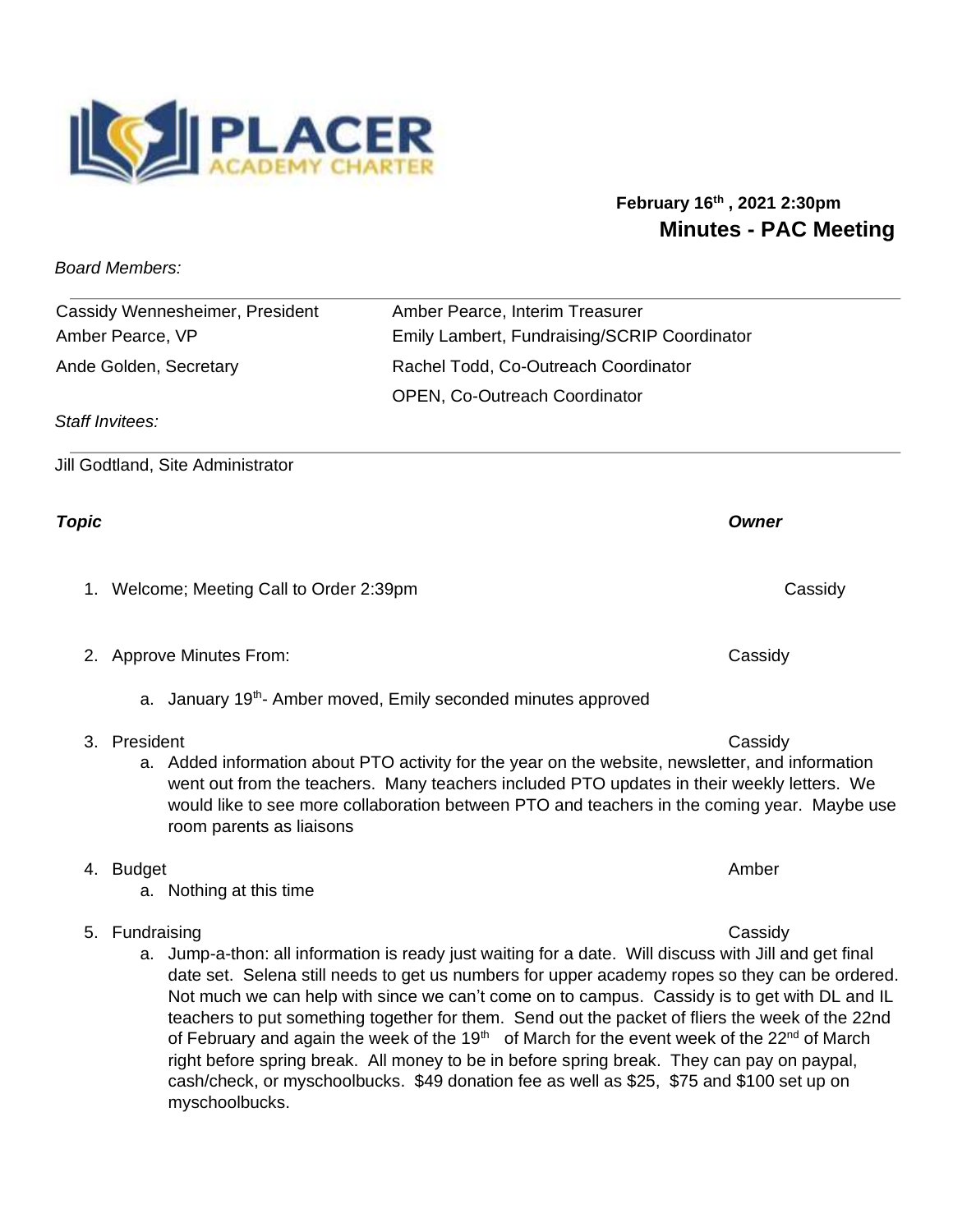

## **February 16th , 2021 2:30pm Minutes - PAC Meeting**

*Board Members:* 

| Cassidy Wennesheimer, President | Amber Pearce, Interim Treasurer              |
|---------------------------------|----------------------------------------------|
| Amber Pearce, VP                | Emily Lambert, Fundraising/SCRIP Coordinator |
| Ande Golden, Secretary          | Rachel Todd, Co-Outreach Coordinator         |
|                                 | <b>OPEN, Co-Outreach Coordinator</b>         |

*Staff Invitees:* 

Jill Godtland, Site Administrator

## *Topic Owner*

1. Welcome; Meeting Call to Order 2:39pm cassidy cassidy

a. Nothing at this time

myschoolbucks.

- 2. Approve Minutes From: Cassidy
	- a. January 19<sup>th</sup>- Amber moved, Emily seconded minutes approved

4. Budget Amber Amber Amber Amber Amber Amber Amber Amber Amber Amber Amber Amber Amber Amber Amber Amber Amber

- 3. President Cassidy
	- a. Added information about PTO activity for the year on the website, newsletter, and information went out from the teachers. Many teachers included PTO updates in their weekly letters. We would like to see more collaboration between PTO and teachers in the coming year. Maybe use room parents as liaisons

5. Fundraising Cassidy a. Jump-a-thon: all information is ready just waiting for a date. Will discuss with Jill and get final date set. Selena still needs to get us numbers for upper academy ropes so they can be ordered. Not much we can help with since we can't come on to campus. Cassidy is to get with DL and IL teachers to put something together for them. Send out the packet of fliers the week of the 22nd of February and again the week of the 19<sup>th</sup> of March for the event week of the 22<sup>nd</sup> of March right before spring break. All money to be in before spring break. They can pay on paypal,

cash/check, or myschoolbucks. \$49 donation fee as well as \$25, \$75 and \$100 set up on